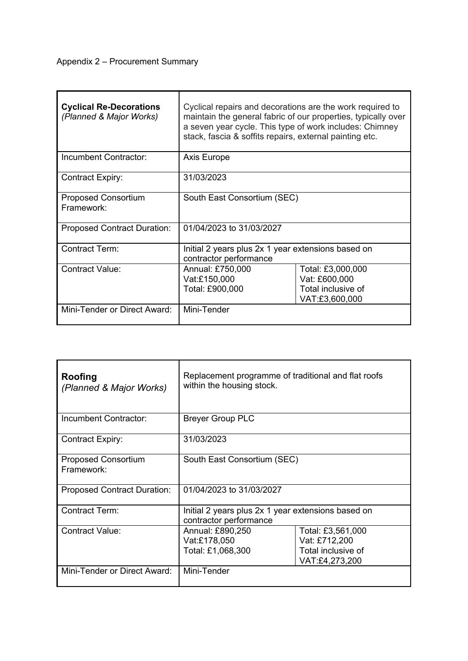| <b>Cyclical Re-Decorations</b><br>(Planned & Major Works) | Cyclical repairs and decorations are the work required to<br>maintain the general fabric of our properties, typically over<br>a seven year cycle. This type of work includes: Chimney<br>stack, fascia & soffits repairs, external painting etc. |                                                                            |
|-----------------------------------------------------------|--------------------------------------------------------------------------------------------------------------------------------------------------------------------------------------------------------------------------------------------------|----------------------------------------------------------------------------|
| Incumbent Contractor:                                     | Axis Europe                                                                                                                                                                                                                                      |                                                                            |
| <b>Contract Expiry:</b>                                   | 31/03/2023                                                                                                                                                                                                                                       |                                                                            |
| <b>Proposed Consortium</b><br>Framework:                  | South East Consortium (SEC)                                                                                                                                                                                                                      |                                                                            |
| <b>Proposed Contract Duration:</b>                        | 01/04/2023 to 31/03/2027                                                                                                                                                                                                                         |                                                                            |
| <b>Contract Term:</b>                                     | Initial 2 years plus 2x 1 year extensions based on<br>contractor performance                                                                                                                                                                     |                                                                            |
| <b>Contract Value:</b>                                    | Annual: £750,000<br>Vat:£150,000<br>Total: £900,000                                                                                                                                                                                              | Total: £3,000,000<br>Vat: £600,000<br>Total inclusive of<br>VAT:£3,600,000 |
| Mini-Tender or Direct Award:                              | Mini-Tender                                                                                                                                                                                                                                      |                                                                            |

| Roofing<br>(Planned & Major Works)       | Replacement programme of traditional and flat roofs<br>within the housing stock. |                                                                            |
|------------------------------------------|----------------------------------------------------------------------------------|----------------------------------------------------------------------------|
| Incumbent Contractor:                    | <b>Breyer Group PLC</b>                                                          |                                                                            |
| <b>Contract Expiry:</b>                  | 31/03/2023                                                                       |                                                                            |
| <b>Proposed Consortium</b><br>Framework: | South East Consortium (SEC)                                                      |                                                                            |
| <b>Proposed Contract Duration:</b>       | 01/04/2023 to 31/03/2027                                                         |                                                                            |
| <b>Contract Term:</b>                    | Initial 2 years plus 2x 1 year extensions based on<br>contractor performance     |                                                                            |
| <b>Contract Value:</b>                   | Annual: £890,250<br>Vat:£178,050<br>Total: £1,068,300                            | Total: £3,561,000<br>Vat: £712,200<br>Total inclusive of<br>VAT:£4,273,200 |
| Mini-Tender or Direct Award:             | Mini-Tender                                                                      |                                                                            |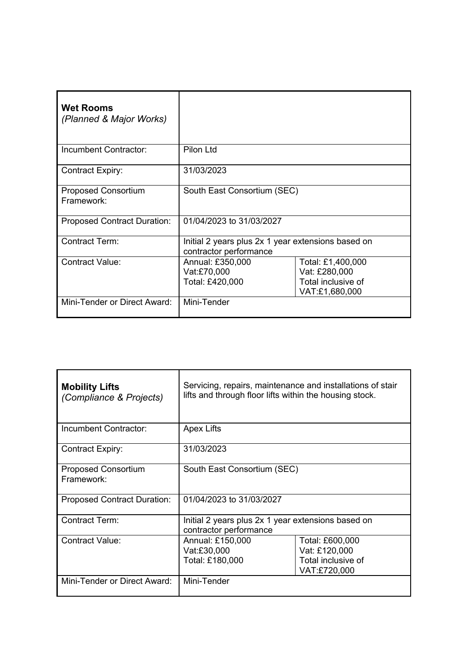| <b>Wet Rooms</b><br>(Planned & Major Works) |                                                                              |                                                                            |
|---------------------------------------------|------------------------------------------------------------------------------|----------------------------------------------------------------------------|
| Incumbent Contractor:                       | Pilon Ltd                                                                    |                                                                            |
| <b>Contract Expiry:</b>                     | 31/03/2023                                                                   |                                                                            |
| <b>Proposed Consortium</b><br>Framework:    | South East Consortium (SEC)                                                  |                                                                            |
| <b>Proposed Contract Duration:</b>          | 01/04/2023 to 31/03/2027                                                     |                                                                            |
| <b>Contract Term:</b>                       | Initial 2 years plus 2x 1 year extensions based on<br>contractor performance |                                                                            |
| <b>Contract Value:</b>                      | Annual: £350,000<br>Vat:£70,000<br>Total: £420,000                           | Total: £1,400,000<br>Vat: £280,000<br>Total inclusive of<br>VAT:£1,680,000 |
| Mini-Tender or Direct Award:                | Mini-Tender                                                                  |                                                                            |

| <b>Mobility Lifts</b><br>(Compliance & Projects) | Servicing, repairs, maintenance and installations of stair<br>lifts and through floor lifts within the housing stock. |                                                                        |
|--------------------------------------------------|-----------------------------------------------------------------------------------------------------------------------|------------------------------------------------------------------------|
| Incumbent Contractor:                            | <b>Apex Lifts</b>                                                                                                     |                                                                        |
| <b>Contract Expiry:</b>                          | 31/03/2023                                                                                                            |                                                                        |
| <b>Proposed Consortium</b><br>Framework:         | South East Consortium (SEC)                                                                                           |                                                                        |
| <b>Proposed Contract Duration:</b>               | 01/04/2023 to 31/03/2027                                                                                              |                                                                        |
| <b>Contract Term:</b>                            | Initial 2 years plus 2x 1 year extensions based on<br>contractor performance                                          |                                                                        |
| <b>Contract Value:</b>                           | Annual: £150,000<br>Vat:£30,000<br>Total: £180,000                                                                    | Total: £600,000<br>Vat: £120,000<br>Total inclusive of<br>VAT:£720,000 |
| Mini-Tender or Direct Award:                     | Mini-Tender                                                                                                           |                                                                        |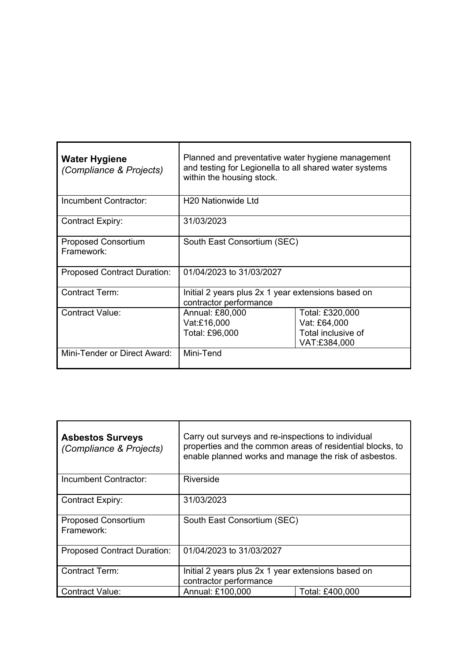| <b>Water Hygiene</b><br>(Compliance & Projects) | Planned and preventative water hygiene management<br>and testing for Legionella to all shared water systems<br>within the housing stock. |                                                                       |
|-------------------------------------------------|------------------------------------------------------------------------------------------------------------------------------------------|-----------------------------------------------------------------------|
| Incumbent Contractor:                           | <b>H20 Nationwide Ltd</b>                                                                                                                |                                                                       |
| <b>Contract Expiry:</b>                         | 31/03/2023                                                                                                                               |                                                                       |
| <b>Proposed Consortium</b><br>Framework:        | South East Consortium (SEC)                                                                                                              |                                                                       |
| <b>Proposed Contract Duration:</b>              | 01/04/2023 to 31/03/2027                                                                                                                 |                                                                       |
| <b>Contract Term:</b>                           | Initial 2 years plus 2x 1 year extensions based on<br>contractor performance                                                             |                                                                       |
| <b>Contract Value:</b>                          | Annual: £80,000<br>Vat:£16,000<br>Total: £96,000                                                                                         | Total: £320,000<br>Vat: £64,000<br>Total inclusive of<br>VAT:£384,000 |
| Mini-Tender or Direct Award:                    | Mini-Tend                                                                                                                                |                                                                       |

| <b>Asbestos Surveys</b><br>(Compliance & Projects) | Carry out surveys and re-inspections to individual<br>properties and the common areas of residential blocks, to<br>enable planned works and manage the risk of asbestos. |                 |
|----------------------------------------------------|--------------------------------------------------------------------------------------------------------------------------------------------------------------------------|-----------------|
| Incumbent Contractor:                              | Riverside                                                                                                                                                                |                 |
| <b>Contract Expiry:</b>                            | 31/03/2023                                                                                                                                                               |                 |
| <b>Proposed Consortium</b><br>Framework:           | South East Consortium (SEC)                                                                                                                                              |                 |
| <b>Proposed Contract Duration:</b>                 | 01/04/2023 to 31/03/2027                                                                                                                                                 |                 |
| <b>Contract Term:</b>                              | Initial 2 years plus 2x 1 year extensions based on<br>contractor performance                                                                                             |                 |
| <b>Contract Value:</b>                             | Annual: £100,000                                                                                                                                                         | Total: £400,000 |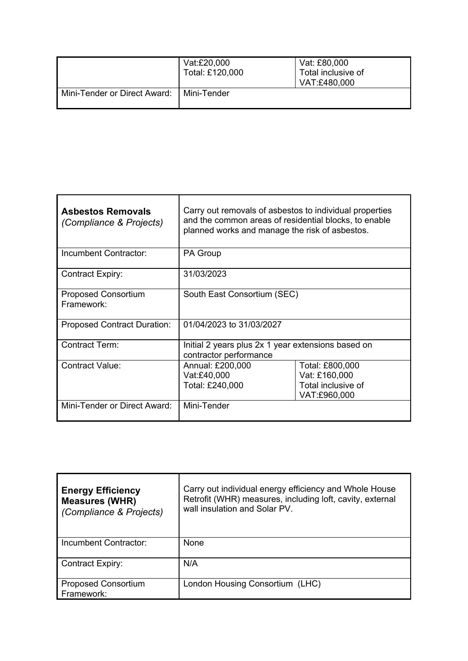|                              | Vat:£20,000<br>Total: £120,000 | Vat: £80,000<br>Total inclusive of<br>VAT:£480,000 |
|------------------------------|--------------------------------|----------------------------------------------------|
| Mini-Tender or Direct Award: | Mini-Tender                    |                                                    |

| <b>Asbestos Removals</b><br>(Compliance & Projects) | Carry out removals of asbestos to individual properties<br>and the common areas of residential blocks, to enable<br>planned works and manage the risk of asbestos. |                                                                        |
|-----------------------------------------------------|--------------------------------------------------------------------------------------------------------------------------------------------------------------------|------------------------------------------------------------------------|
| Incumbent Contractor:                               | <b>PA Group</b>                                                                                                                                                    |                                                                        |
| <b>Contract Expiry:</b>                             | 31/03/2023                                                                                                                                                         |                                                                        |
| <b>Proposed Consortium</b><br>Framework:            | South East Consortium (SEC)                                                                                                                                        |                                                                        |
| <b>Proposed Contract Duration:</b>                  | 01/04/2023 to 31/03/2027                                                                                                                                           |                                                                        |
| <b>Contract Term:</b>                               | Initial 2 years plus 2x 1 year extensions based on<br>contractor performance                                                                                       |                                                                        |
| <b>Contract Value:</b>                              | Annual: £200,000<br>Vat:£40,000<br>Total: £240,000                                                                                                                 | Total: £800,000<br>Vat: £160,000<br>Total inclusive of<br>VAT:£960,000 |
| Mini-Tender or Direct Award:                        | Mini-Tender                                                                                                                                                        |                                                                        |

| <b>Energy Efficiency</b><br><b>Measures (WHR)</b><br>(Compliance & Projects) | Carry out individual energy efficiency and Whole House<br>Retrofit (WHR) measures, including loft, cavity, external<br>wall insulation and Solar PV. |
|------------------------------------------------------------------------------|------------------------------------------------------------------------------------------------------------------------------------------------------|
| Incumbent Contractor:                                                        | <b>None</b>                                                                                                                                          |
| <b>Contract Expiry:</b>                                                      | N/A                                                                                                                                                  |
| <b>Proposed Consortium</b><br>Framework:                                     | London Housing Consortium (LHC)                                                                                                                      |